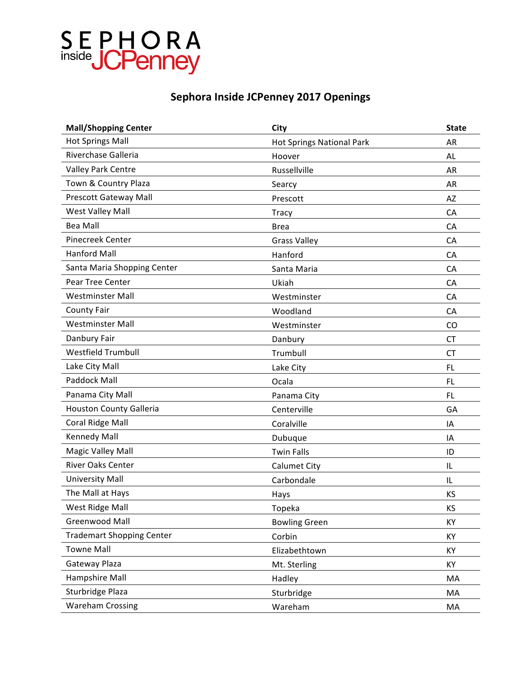## SEPHORA<br>
inside JCPenney

### **Sephora Inside JCPenney 2017 Openings**

| <b>Mall/Shopping Center</b>      | City                      | <b>State</b> |
|----------------------------------|---------------------------|--------------|
| <b>Hot Springs Mall</b>          | Hot Springs National Park | AR           |
| Riverchase Galleria              | Hoover                    | AL           |
| Valley Park Centre               | Russellville              | AR           |
| Town & Country Plaza             | Searcy                    | AR           |
| Prescott Gateway Mall            | Prescott                  | AZ           |
| West Valley Mall                 | <b>Tracy</b>              | CA           |
| <b>Bea Mall</b>                  | <b>Brea</b>               | CA           |
| Pinecreek Center                 | <b>Grass Valley</b>       | CA           |
| <b>Hanford Mall</b>              | Hanford                   | CA           |
| Santa Maria Shopping Center      | Santa Maria               | CA           |
| Pear Tree Center                 | Ukiah                     | CA           |
| <b>Westminster Mall</b>          | Westminster               | CA           |
| <b>County Fair</b>               | Woodland                  | CA           |
| <b>Westminster Mall</b>          | Westminster               | <b>CO</b>    |
| Danbury Fair                     | Danbury                   | <b>CT</b>    |
| <b>Westfield Trumbull</b>        | Trumbull                  | <b>CT</b>    |
| Lake City Mall                   | Lake City                 | <b>FL</b>    |
| <b>Paddock Mall</b>              | Ocala                     | <b>FL</b>    |
| Panama City Mall                 | Panama City               | FL.          |
| Houston County Galleria          | Centerville               | GA           |
| Coral Ridge Mall                 | Coralville                | IA           |
| <b>Kennedy Mall</b>              | Dubuque                   | IA           |
| <b>Magic Valley Mall</b>         | <b>Twin Falls</b>         | ID           |
| <b>River Oaks Center</b>         | Calumet City              | IL           |
| <b>University Mall</b>           | Carbondale                | IL           |
| The Mall at Hays                 | Hays                      | KS           |
| West Ridge Mall                  | Topeka                    | ΚS           |
| Greenwood Mall                   | <b>Bowling Green</b>      | KY           |
| <b>Trademart Shopping Center</b> | Corbin                    | KY           |
| <b>Towne Mall</b>                | Elizabethtown             | KY           |
| Gateway Plaza                    | Mt. Sterling              | KY           |
| Hampshire Mall                   | Hadley                    | MA           |
| Sturbridge Plaza                 | Sturbridge                | MA           |
| <b>Wareham Crossing</b>          | Wareham                   | MA           |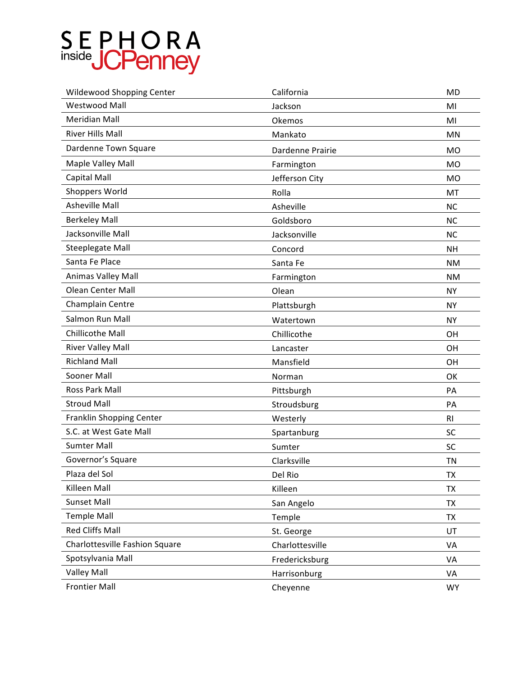# SEPHORA<br>
inside JCPenney

| <b>Wildewood Shopping Center</b> | California       | <b>MD</b>      |
|----------------------------------|------------------|----------------|
| <b>Westwood Mall</b>             | Jackson          | MI             |
| <b>Meridian Mall</b>             | Okemos           | MI             |
| <b>River Hills Mall</b>          | Mankato          | MN             |
| Dardenne Town Square             | Dardenne Prairie | MO             |
| Maple Valley Mall                | Farmington       | <b>MO</b>      |
| Capital Mall                     | Jefferson City   | MO             |
| <b>Shoppers World</b>            | Rolla            | MT             |
| <b>Asheville Mall</b>            | Asheville        | <b>NC</b>      |
| <b>Berkeley Mall</b>             | Goldsboro        | <b>NC</b>      |
| Jacksonville Mall                | Jacksonville     | <b>NC</b>      |
| Steeplegate Mall                 | Concord          | <b>NH</b>      |
| Santa Fe Place                   | Santa Fe         | <b>NM</b>      |
| Animas Valley Mall               | Farmington       | <b>NM</b>      |
| <b>Olean Center Mall</b>         | Olean            | <b>NY</b>      |
| Champlain Centre                 | Plattsburgh      | <b>NY</b>      |
| Salmon Run Mall                  | Watertown        | <b>NY</b>      |
| Chillicothe Mall                 | Chillicothe      | OH             |
| <b>River Valley Mall</b>         | Lancaster        | OH             |
| <b>Richland Mall</b>             | Mansfield        | OH             |
| Sooner Mall                      | Norman           | OK             |
| Ross Park Mall                   | Pittsburgh       | PA             |
| <b>Stroud Mall</b>               | Stroudsburg      | PA             |
| <b>Franklin Shopping Center</b>  | Westerly         | R <sub>l</sub> |
| S.C. at West Gate Mall           | Spartanburg      | <b>SC</b>      |
| <b>Sumter Mall</b>               | Sumter           | <b>SC</b>      |
| Governor's Square                | Clarksville      | <b>TN</b>      |
| Plaza del Sol                    | Del Rio          | TX             |
| Killeen Mall                     | Killeen          | TX             |
| <b>Sunset Mall</b>               | San Angelo       | <b>TX</b>      |
| <b>Temple Mall</b>               | Temple           | <b>TX</b>      |
| <b>Red Cliffs Mall</b>           | St. George       | UT             |
| Charlottesville Fashion Square   | Charlottesville  | VA             |
| Spotsylvania Mall                | Fredericksburg   | VA             |
| <b>Valley Mall</b>               | Harrisonburg     | VA             |
| <b>Frontier Mall</b>             | Cheyenne         | <b>WY</b>      |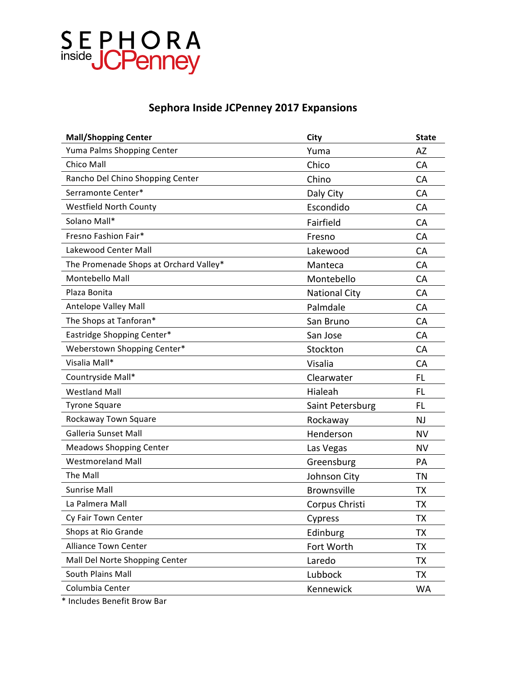

### **Sephora Inside JCPenney 2017 Expansions**

| <b>Mall/Shopping Center</b>            | City                 | <b>State</b> |
|----------------------------------------|----------------------|--------------|
| Yuma Palms Shopping Center             | Yuma                 | AZ           |
| <b>Chico Mall</b>                      | Chico                | CA           |
| Rancho Del Chino Shopping Center       | Chino                | CA           |
| Serramonte Center*                     | Daly City            | CA           |
| <b>Westfield North County</b>          | Escondido            | CA           |
| Solano Mall*                           | Fairfield            | CA           |
| Fresno Fashion Fair*                   | Fresno               | CA           |
| Lakewood Center Mall                   | Lakewood             | <b>CA</b>    |
| The Promenade Shops at Orchard Valley* | Manteca              | CA           |
| Montebello Mall                        | Montebello           | CA           |
| Plaza Bonita                           | <b>National City</b> | CA           |
| Antelope Valley Mall                   | Palmdale             | <b>CA</b>    |
| The Shops at Tanforan*                 | San Bruno            | CA           |
| Eastridge Shopping Center*             | San Jose             | CA           |
| Weberstown Shopping Center*            | Stockton             | CA           |
| Visalia Mall*                          | Visalia              | <b>CA</b>    |
| Countryside Mall*                      | Clearwater           | FL           |
| <b>Westland Mall</b>                   | Hialeah              | <b>FL</b>    |
| <b>Tyrone Square</b>                   | Saint Petersburg     | <b>FL</b>    |
| Rockaway Town Square                   | Rockaway             | NJ           |
| Galleria Sunset Mall                   | Henderson            | <b>NV</b>    |
| <b>Meadows Shopping Center</b>         | Las Vegas            | <b>NV</b>    |
| <b>Westmoreland Mall</b>               | Greensburg           | PA           |
| The Mall                               | Johnson City         | <b>TN</b>    |
| <b>Sunrise Mall</b>                    | <b>Brownsville</b>   | <b>TX</b>    |
| La Palmera Mall                        | Corpus Christi       | <b>TX</b>    |
| Cy Fair Town Center                    | Cypress              | <b>TX</b>    |
| Shops at Rio Grande                    | Edinburg             | <b>TX</b>    |
| <b>Alliance Town Center</b>            | Fort Worth           | <b>TX</b>    |
| Mall Del Norte Shopping Center         | Laredo               | <b>TX</b>    |
| South Plains Mall                      | Lubbock              | <b>TX</b>    |
| Columbia Center                        | Kennewick            | <b>WA</b>    |
|                                        |                      |              |

\* Includes Benefit Brow Bar